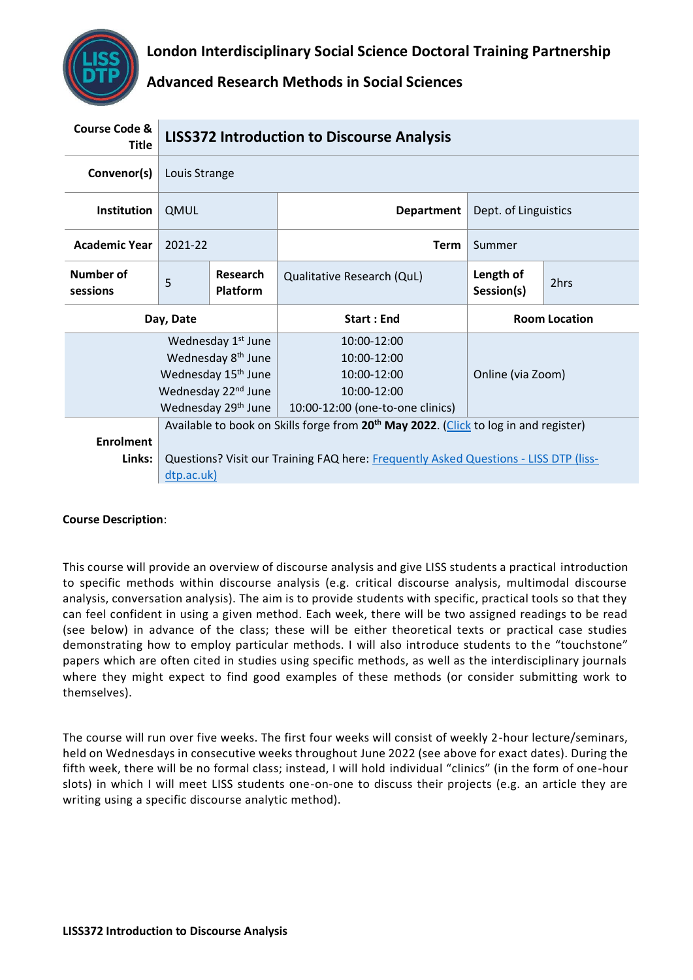# **London Interdisciplinary Social Science Doctoral Training Partnership**

# **Advanced Research Methods in Social Sciences**

| <b>Course Code &amp;</b><br><b>Title</b> | <b>LISS372 Introduction to Discourse Analysis</b> |                                    |                                                                                                  |                         |      |
|------------------------------------------|---------------------------------------------------|------------------------------------|--------------------------------------------------------------------------------------------------|-------------------------|------|
| Convenor(s)                              | Louis Strange                                     |                                    |                                                                                                  |                         |      |
| Institution                              | QMUL                                              |                                    | <b>Department</b>                                                                                | Dept. of Linguistics    |      |
| <b>Academic Year</b>                     | 2021-22                                           |                                    | <b>Term</b>                                                                                      | Summer                  |      |
| Number of<br>sessions                    | 5                                                 | <b>Research</b><br><b>Platform</b> | Qualitative Research (QuL)                                                                       | Length of<br>Session(s) | 2hrs |
| Day, Date                                |                                                   |                                    | <b>Start: End</b>                                                                                | <b>Room Location</b>    |      |
| Wednesday 1 <sup>st</sup> June           |                                                   |                                    |                                                                                                  |                         |      |
| Wednesday 8 <sup>th</sup> June           |                                                   |                                    | 10:00-12:00                                                                                      |                         |      |
|                                          |                                                   |                                    | 10:00-12:00                                                                                      |                         |      |
|                                          |                                                   | Wednesday 15 <sup>th</sup> June    | 10:00-12:00                                                                                      | Online (via Zoom)       |      |
|                                          |                                                   | Wednesday 22 <sup>nd</sup> June    | 10:00-12:00                                                                                      |                         |      |
|                                          |                                                   | Wednesday 29 <sup>th</sup> June    | 10:00-12:00 (one-to-one clinics)                                                                 |                         |      |
|                                          |                                                   |                                    | Available to book on Skills forge from 20 <sup>th</sup> May 2022. (Click to log in and register) |                         |      |
| <b>Enrolment</b>                         |                                                   |                                    |                                                                                                  |                         |      |
| Links:                                   |                                                   |                                    | Questions? Visit our Training FAQ here: Frequently Asked Questions - LISS DTP (liss-             |                         |      |

## **Course Description**:

This course will provide an overview of discourse analysis and give LISS students a practical introduction to specific methods within discourse analysis (e.g. critical discourse analysis, multimodal discourse analysis, conversation analysis). The aim is to provide students with specific, practical tools so that they can feel confident in using a given method. Each week, there will be two assigned readings to be read (see below) in advance of the class; these will be either theoretical texts or practical case studies demonstrating how to employ particular methods. I will also introduce students to the "touchstone" papers which are often cited in studies using specific methods, as well as the interdisciplinary journals where they might expect to find good examples of these methods (or consider submitting work to themselves).

The course will run over five weeks. The first four weeks will consist of weekly 2-hour lecture/seminars, held on Wednesdays in consecutive weeks throughout June 2022 (see above for exact dates). During the fifth week, there will be no formal class; instead, I will hold individual "clinics" (in the form of one-hour slots) in which I will meet LISS students one-on-one to discuss their projects (e.g. an article they are writing using a specific discourse analytic method).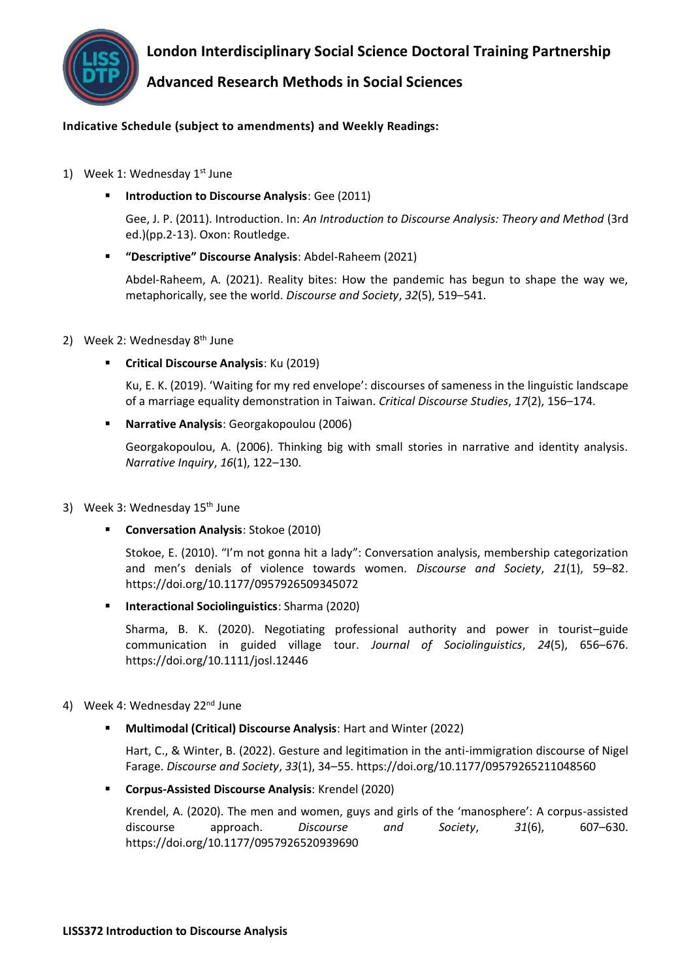

**London Interdisciplinary Social Science Doctoral Training Partnership**

## **Advanced Research Methods in Social Sciences**

## **Indicative Schedule (subject to amendments) and Weekly Readings:**

- 1) Week 1: Wednesday  $1<sup>st</sup>$  June
	- **Introduction to Discourse Analysis: Gee (2011)**

Gee, J. P. (2011). Introduction. In: *An Introduction to Discourse Analysis: Theory and Method* (3rd ed.)(pp.2-13). Oxon: Routledge.

▪ **"Descriptive" Discourse Analysis**: Abdel-Raheem (2021)

Abdel-Raheem, A. (2021). Reality bites: How the pandemic has begun to shape the way we, metaphorically, see the world. *Discourse and Society*, *32*(5), 519–541.

## 2) Week 2: Wednesday  $8<sup>th</sup>$  June

▪ **Critical Discourse Analysis**: Ku (2019)

Ku, E. K. (2019). 'Waiting for my red envelope': discourses of sameness in the linguistic landscape of a marriage equality demonstration in Taiwan. *Critical Discourse Studies*, *17*(2), 156–174.

▪ **Narrative Analysis**: Georgakopoulou (2006)

Georgakopoulou, A. (2006). Thinking big with small stories in narrative and identity analysis. *Narrative Inquiry*, *16*(1), 122–130.

- 3) Week 3: Wednesday 15<sup>th</sup> June
	- **Conversation Analysis**: Stokoe (2010)

Stokoe, E. (2010). "I'm not gonna hit a lady": Conversation analysis, membership categorization and men's denials of violence towards women. *Discourse and Society*, *21*(1), 59–82. https://doi.org/10.1177/0957926509345072

▪ **Interactional Sociolinguistics**: Sharma (2020)

Sharma, B. K. (2020). Negotiating professional authority and power in tourist–guide communication in guided village tour. *Journal of Sociolinguistics*, *24*(5), 656–676. https://doi.org/10.1111/josl.12446

- 4) Week 4: Wednesday 22<sup>nd</sup> June
	- **Multimodal (Critical) Discourse Analysis: Hart and Winter (2022)**

Hart, C., & Winter, B. (2022). Gesture and legitimation in the anti-immigration discourse of Nigel Farage. *Discourse and Society*, *33*(1), 34–55. https://doi.org/10.1177/09579265211048560

▪ **Corpus-Assisted Discourse Analysis**: Krendel (2020)

Krendel, A. (2020). The men and women, guys and girls of the 'manosphere': A corpus-assisted discourse approach. *Discourse and Society*, *31*(6), 607–630. https://doi.org/10.1177/0957926520939690